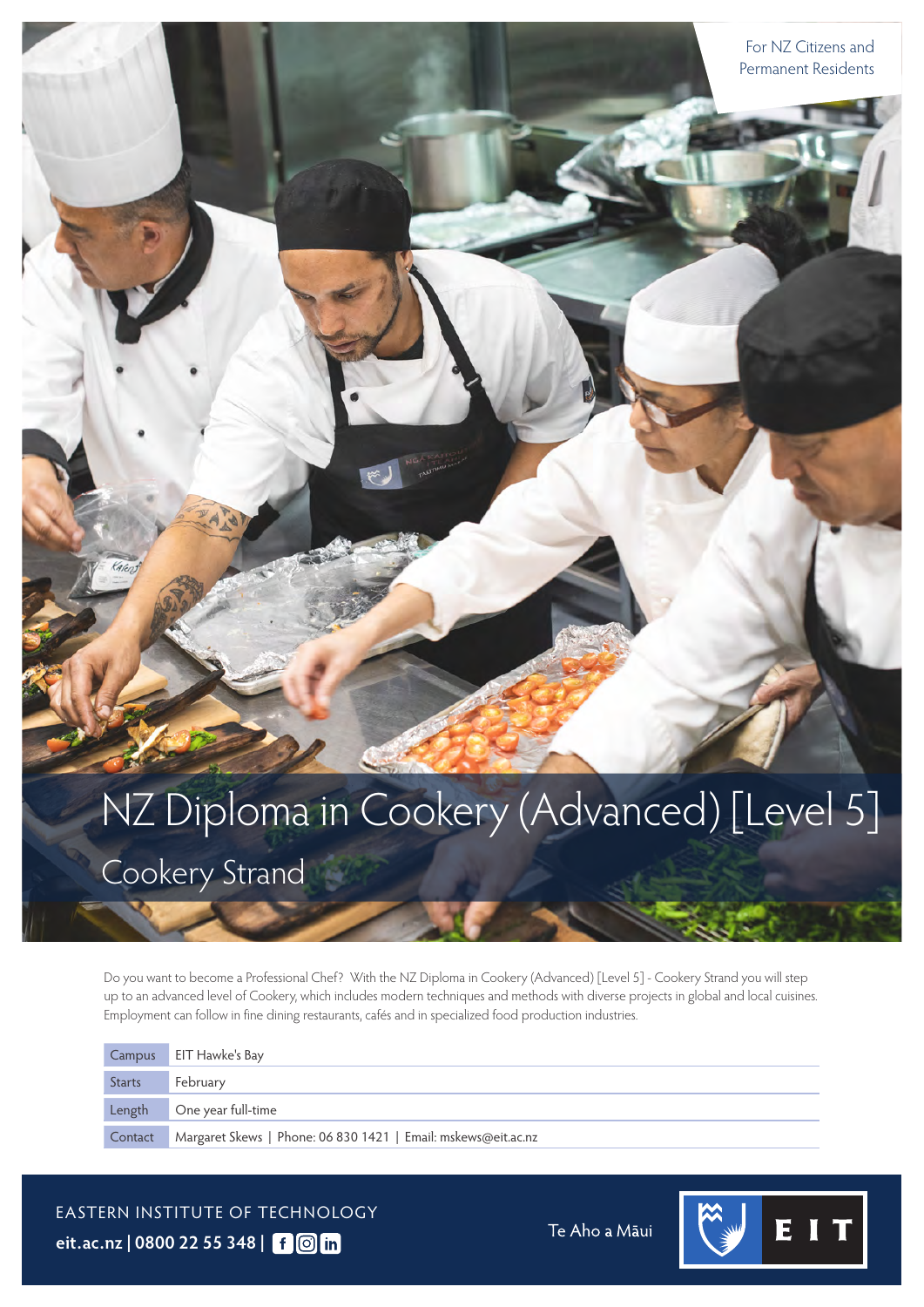# NZ Diploma in Cookery (Advanced) [Level 5]

Cookery Strand

Do you want to become a Professional Chef? With the NZ Diploma in Cookery (Advanced) [Level 5] - Cookery Strand you will step up to an advanced level of Cookery, which includes modern techniques and methods with diverse projects in global and local cuisines. Employment can follow in fine dining restaurants, cafés and in specialized food production industries.

|               | Campus EIT Hawke's Bay                                        |
|---------------|---------------------------------------------------------------|
| <b>Starts</b> | February                                                      |
| Length        | One year full-time                                            |
| Contact       | Margaret Skews   Phone: 06 830 1421   Email: mskews@eit.ac.nz |

EASTERN INSTITUTE OF TECHNOLOGY **[eit.ac.nz](https://www.eit.ac.nz) | 0800 22 55 348 |**

Te Aho a Māui

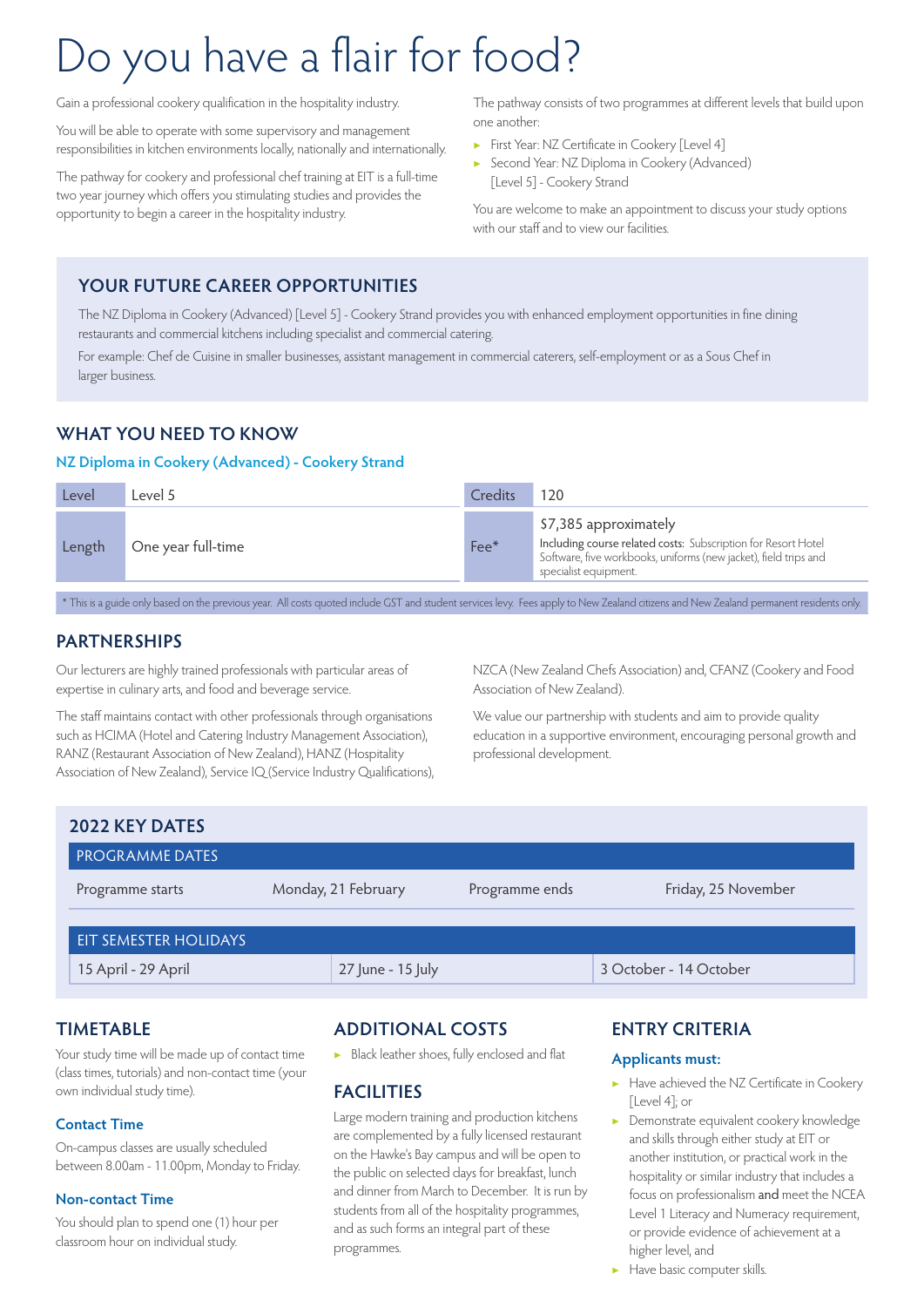## Do you have a flair for food?

Gain a professional cookery qualification in the hospitality industry.

You will be able to operate with some supervisory and management responsibilities in kitchen environments locally, nationally and internationally.

The pathway for cookery and professional chef training at EIT is a full-time two year journey which offers you stimulating studies and provides the opportunity to begin a career in the hospitality industry.

The pathway consists of two programmes at different levels that build upon one another:

- ▶ First Year: NZ Certificate in Cookery [Level 4]
- ▶ Second Year: NZ Diploma in Cookery (Advanced) [Level 5] - Cookery Strand

You are welcome to make an appointment to discuss your study options with our staff and to view our facilities.

#### **YOUR FUTURE CAREER OPPORTUNITIES**

The NZ Diploma in Cookery (Advanced) [Level 5] - Cookery Strand provides you with enhanced employment opportunities in fine dining restaurants and commercial kitchens including specialist and commercial catering.

For example: Chef de Cuisine in smaller businesses, assistant management in commercial caterers, self-employment or as a Sous Chef in larger business.

#### **WHAT YOU NEED TO KNOW**

#### **NZ Diploma in Cookery (Advanced) - Cookery Strand**

| Level  | evel 5             | Credits | 120                                                                                                                                                                                 |
|--------|--------------------|---------|-------------------------------------------------------------------------------------------------------------------------------------------------------------------------------------|
| Length | One year full-time | $Fee*$  | \$7,385 approximately<br>Including course related costs: Subscription for Resort Hotel<br>Software, five workbooks, uniforms (new jacket), field trips and<br>specialist equipment. |

\* This is a guide only based on the previous year. All costs quoted include GST and student services levy. Fees apply to New Zealand citizens and New Zealand permanent residents only.

#### **PARTNERSHIPS**

Our lecturers are highly trained professionals with particular areas of expertise in culinary arts, and food and beverage service.

The staff maintains contact with other professionals through organisations such as HCIMA (Hotel and Catering Industry Management Association), RANZ (Restaurant Association of New Zealand), HANZ (Hospitality Association of New Zealand), Service IQ (Service Industry Qualifications), NZCA (New Zealand Chefs Association) and, CFANZ (Cookery and Food Association of New Zealand).

We value our partnership with students and aim to provide quality education in a supportive environment, encouraging personal growth and professional development.

| 2022 KEY DATES               |                     |                |                        |  |  |
|------------------------------|---------------------|----------------|------------------------|--|--|
| <b>PROGRAMME DATES</b>       |                     |                |                        |  |  |
| Programme starts             | Monday, 21 February | Programme ends | Friday, 25 November    |  |  |
| <b>EIT SEMESTER HOLIDAYS</b> |                     |                |                        |  |  |
| 15 April - 29 April          | 27 June - 15 July   |                | 3 October - 14 October |  |  |

#### **TIMETABLE**

Your study time will be made up of contact time (class times, tutorials) and non-contact time (your own individual study time).

#### **Contact Time**

On-campus classes are usually scheduled between 8.00am - 11.00pm, Monday to Friday.

#### **Non-contact Time**

You should plan to spend one (1) hour per classroom hour on individual study.

#### **ADDITIONAL COSTS**

▶ Black leather shoes, fully enclosed and flat

#### **FACILITIES**

Large modern training and production kitchens are complemented by a fully licensed restaurant on the Hawke's Bay campus and will be open to the public on selected days for breakfast, lunch and dinner from March to December. It is run by students from all of the hospitality programmes, and as such forms an integral part of these programmes.

#### **ENTRY CRITERIA**

#### **Applicants must:**

- Have achieved the NZ Certificate in Cookery [Level 4]; or
- ▶ Demonstrate equivalent cookery knowledge and skills through either study at EIT or another institution, or practical work in the hospitality or similar industry that includes a focus on professionalism and meet the NCEA Level 1 Literacy and Numeracy requirement, or provide evidence of achievement at a higher level, and
- ▶ Have basic computer skills.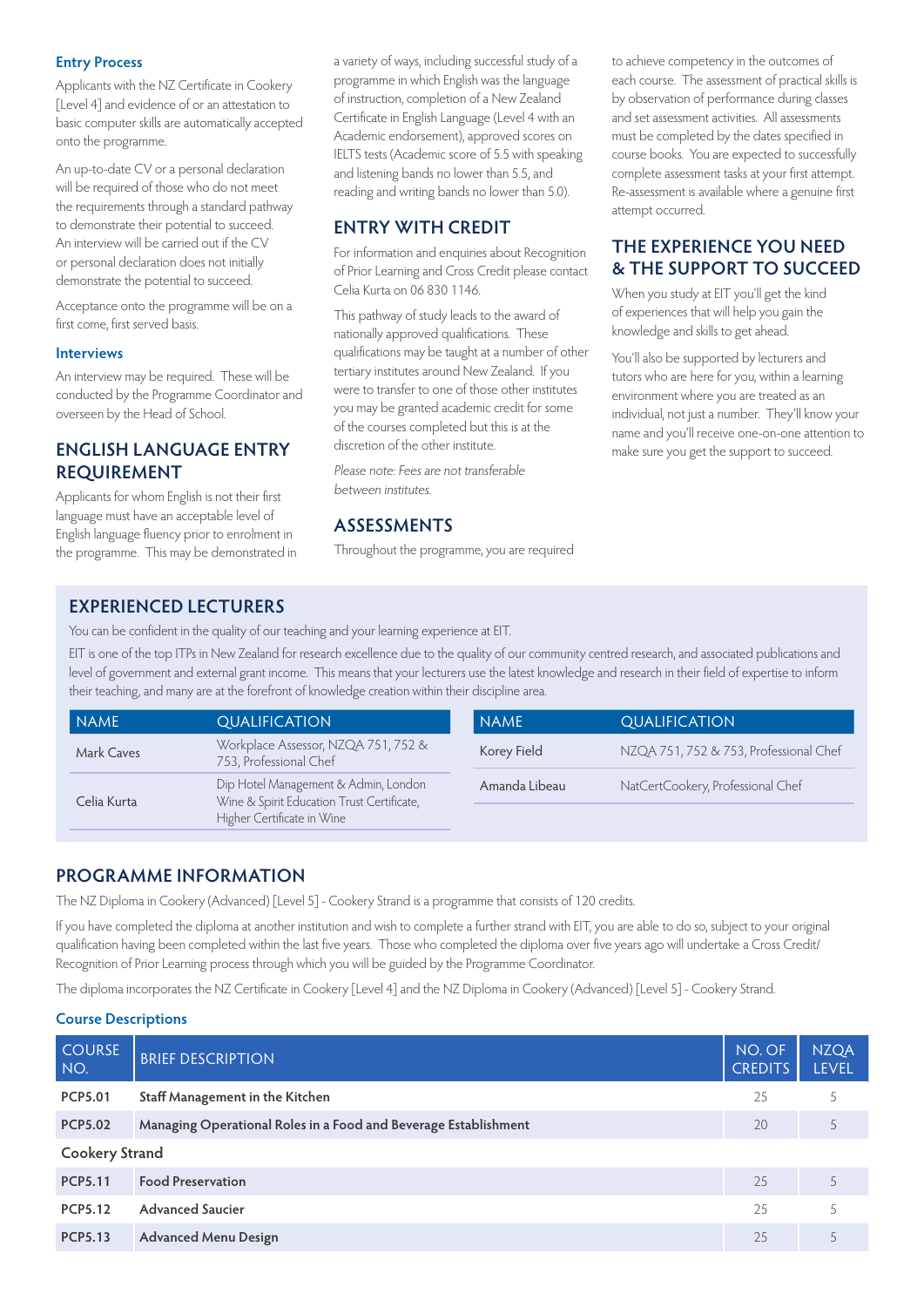#### **Entry Process**

Applicants with the NZ Certificate in Cookery [Level 4] and evidence of or an attestation to basic computer skills are automatically accepted onto the programme.

An up-to-date CV or a personal declaration will be required of those who do not meet the requirements through a standard pathway to demonstrate their potential to succeed. An interview will be carried out if the CV or personal declaration does not initially demonstrate the potential to succeed.

Acceptance onto the programme will be on a first come, first served basis.

#### **Interviews**

An interview may be required. These will be conducted by the Programme Coordinator and overseen by the Head of School.

#### **ENGLISH LANGUAGE ENTRY REQUIREMENT**

Applicants for whom English is not their first language must have an acceptable level of English language fluency prior to enrolment in the programme. This may be demonstrated in a variety of ways, including successful study of a programme in which English was the language of instruction, completion of a New Zealand Certificate in English Language (Level 4 with an Academic endorsement), approved scores on IELTS tests (Academic score of 5.5 with speaking and listening bands no lower than 5.5, and reading and writing bands no lower than 5.0).

#### **ENTRY WITH CREDIT**

For information and enquiries about Recognition of Prior Learning and Cross Credit please contact Celia Kurta on 06 830 1146.

This pathway of study leads to the award of nationally approved qualifications. These qualifications may be taught at a number of other tertiary institutes around New Zealand. If you were to transfer to one of those other institutes you may be granted academic credit for some of the courses completed but this is at the discretion of the other institute.

Please note: Fees are not transferable between institutes.

#### **ASSESSMENTS**

Throughout the programme, you are required

to achieve competency in the outcomes of each course. The assessment of practical skills is by observation of performance during classes and set assessment activities. All assessments must be completed by the dates specified in course books. You are expected to successfully complete assessment tasks at your first attempt. Re-assessment is available where a genuine first attempt occurred.

#### **THE EXPERIENCE YOU NEED & THE SUPPORT TO SUCCEED**

When you study at EIT you'll get the kind of experiences that will help you gain the knowledge and skills to get ahead.

You'll also be supported by lecturers and tutors who are here for you, within a learning environment where you are treated as an individual, not just a number. They'll know your name and you'll receive one-on-one attention to make sure you get the support to succeed.

#### **EXPERIENCED LECTURERS**

You can be confident in the quality of our teaching and your learning experience at EIT.

EIT is one of the top ITPs in New Zealand for research excellence due to the quality of our community centred research, and associated publications and level of government and external grant income. This means that your lecturers use the latest knowledge and research in their field of expertise to inform their teaching, and many are at the forefront of knowledge creation within their discipline area.

| NAME        | <b>QUALIFICATION</b>                                                                                             | <b>NAME</b>   | <b>QUALIFICATION</b>                   |
|-------------|------------------------------------------------------------------------------------------------------------------|---------------|----------------------------------------|
| Mark Caves  | Workplace Assessor, NZQA 751, 752 &<br>753, Professional Chef                                                    | Korey Field   | NZQA 751, 752 & 753, Professional Chef |
| Celia Kurta | Dip Hotel Management & Admin, London<br>Wine & Spirit Education Trust Certificate,<br>Higher Certificate in Wine | Amanda Libeau | NatCertCookery, Professional Chef      |
|             |                                                                                                                  |               |                                        |

#### **PROGRAMME INFORMATION**

The NZ Diploma in Cookery (Advanced) [Level 5] - Cookery Strand is a programme that consists of 120 credits.

If you have completed the diploma at another institution and wish to complete a further strand with EIT, you are able to do so, subject to your original qualification having been completed within the last five years. Those who completed the diploma over five years ago will undertake a Cross Credit/ Recognition of Prior Learning process through which you will be guided by the Programme Coordinator.

The diploma incorporates the NZ Certificate in Cookery [Level 4] and the NZ Diploma in Cookery (Advanced) [Level 5] - Cookery Strand.

#### **Course Descriptions**

| <b>COURSE</b><br>NO.  | <b>BRIEF DESCRIPTION</b>                                        | NO. OF<br><b>CREDITS</b> | <b>NZQA</b><br><b>LEVEL</b> |  |  |
|-----------------------|-----------------------------------------------------------------|--------------------------|-----------------------------|--|--|
| <b>PCP5.01</b>        | Staff Management in the Kitchen                                 | 25                       |                             |  |  |
| <b>PCP5.02</b>        | Managing Operational Roles in a Food and Beverage Establishment | 20                       | 5                           |  |  |
| <b>Cookery Strand</b> |                                                                 |                          |                             |  |  |
| <b>PCP5.11</b>        | <b>Food Preservation</b>                                        | 25                       |                             |  |  |
| <b>PCP5.12</b>        | <b>Advanced Saucier</b>                                         | 25                       |                             |  |  |
| <b>PCP5.13</b>        | <b>Advanced Menu Design</b>                                     | 25                       |                             |  |  |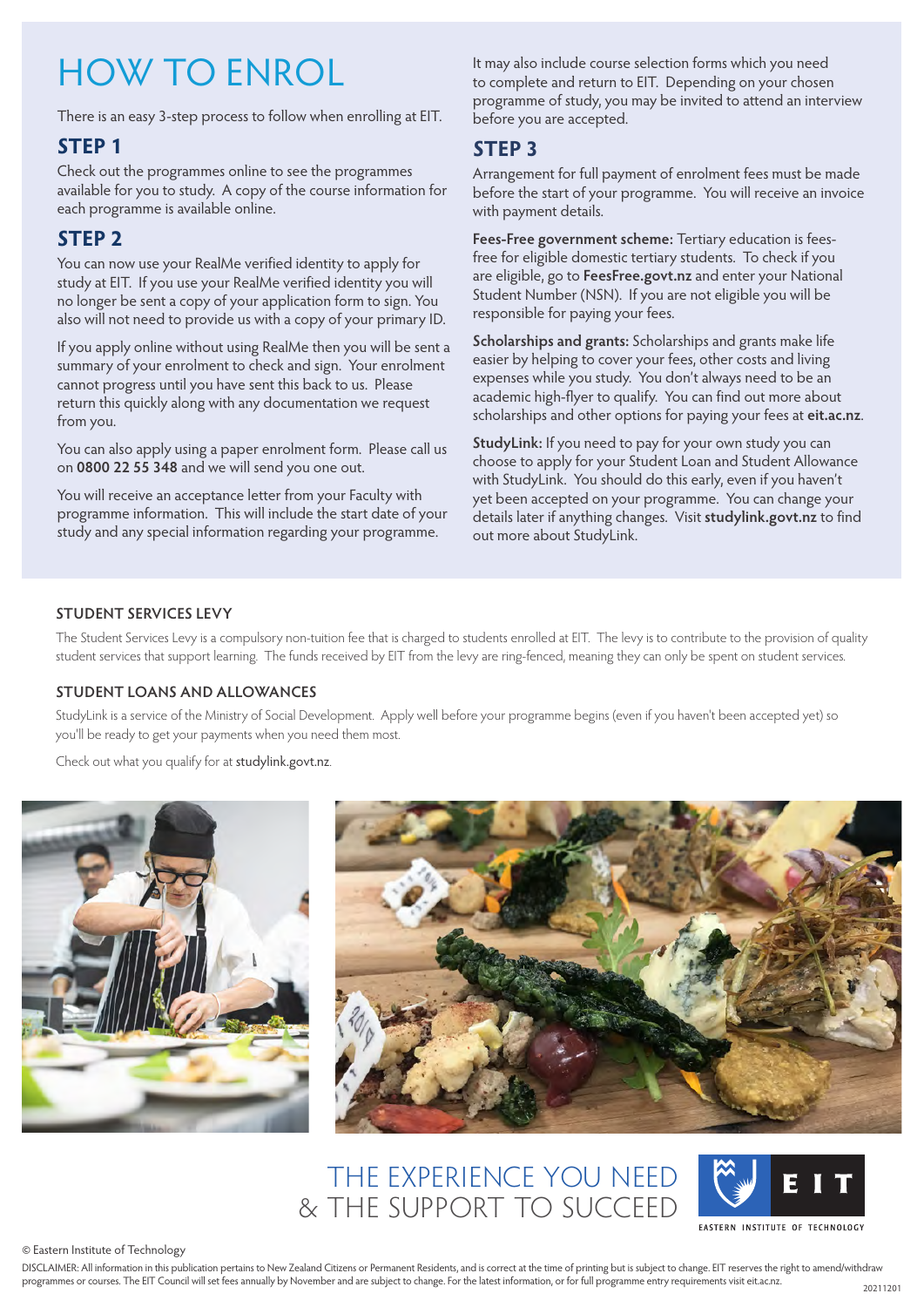## HOW TO ENROL

There is an easy 3-step process to follow when enrolling at EIT.

#### **STEP 1**

Check out the programmes online to see the programmes available for you to study. A copy of the course information for each programme is available online.

#### **STEP 2**

You can now use your RealMe verified identity to apply for study at EIT. If you use your RealMe verified identity you will no longer be sent a copy of your application form to sign. You also will not need to provide us with a copy of your primary ID.

If you apply online without using RealMe then you will be sent a summary of your enrolment to check and sign. Your enrolment cannot progress until you have sent this back to us. Please return this quickly along with any documentation we request from you.

You can also apply using a paper enrolment form. Please call us on **0800 22 55 348** and we will send you one out.

You will receive an acceptance letter from your Faculty with programme information. This will include the start date of your study and any special information regarding your programme.

It may also include course selection forms which you need to complete and return to EIT. Depending on your chosen programme of study, you may be invited to attend an interview before you are accepted.

#### **STEP 3**

Arrangement for full payment of enrolment fees must be made before the start of your programme. You will receive an invoice with payment details.

**Fees-Free government scheme:** Tertiary education is feesfree for eligible domestic tertiary students. To check if you are eligible, go to **[FeesFree.govt.nz](https://www.FeesFree.govt.nz)** and enter your National Student Number (NSN). If you are not eligible you will be responsible for paying your fees.

**Scholarships and grants:** Scholarships and grants make life easier by helping to cover your fees, other costs and living expenses while you study. You don't always need to be an academic high-flyer to qualify. You can find out more about scholarships and other options for paying your fees at **[eit.ac.nz](https://www.eit.ac.nz)**.

**StudyLink:** If you need to pay for your own study you can choose to apply for your Student Loan and Student Allowance with StudyLink. You should do this early, even if you haven't yet been accepted on your programme. You can change your details later if anything changes. Visit **[studylink.govt.nz](https://studylink.govt.nz)** to find out more about StudyLink.

#### **STUDENT SERVICES LEVY**

The Student Services Levy is a compulsory non-tuition fee that is charged to students enrolled at EIT. The levy is to contribute to the provision of quality student services that support learning. The funds received by EIT from the levy are ring-fenced, meaning they can only be spent on student services.

#### **STUDENT LOANS AND ALLOWANCES**

StudyLink is a service of the Ministry of Social Development. Apply well before your programme begins (even if you haven't been accepted yet) so you'll be ready to get your payments when you need them most.

Check out what you qualify for at [studylink.govt.nz](https://studylink.govt.nz).





## THE EXPERIENCE YOU NEED & THE SUPPORT TO SUCCEED



© Eastern Institute of Technology

DISCLAIMER: All information in this publication pertains to New Zealand Citizens or Permanent Residents, and is correct at the time of printing but is subject to change. EIT reserves the right to amend/withdraw programmes or courses. The EIT Council will set fees annually by November and are subject to change. For the latest information, or for full programme entry requirements visit [eit.ac.nz.](https://www.eit.ac.nz)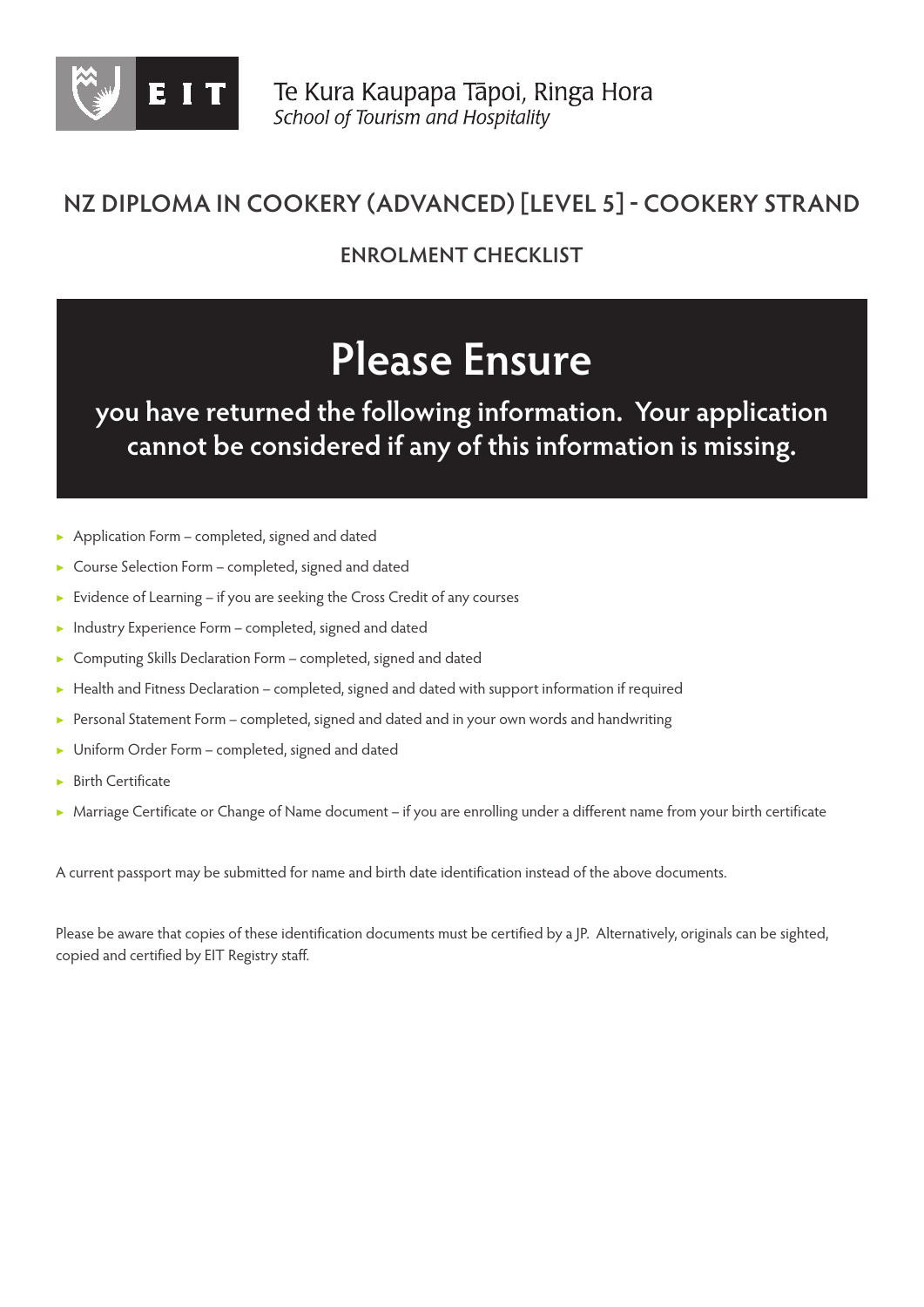

### **NZ DIPLOMA IN COOKERY (ADVANCED) [LEVEL 5] - COOKERY STRAND**

**ENROLMENT CHECKLIST**

## **Please Ensure**

**you have returned the following information. Your application cannot be considered if any of this information is missing.**

- Application Form completed, signed and dated
- Course Selection Form completed, signed and dated
- ▶ Evidence of Learning if you are seeking the Cross Credit of any courses
- ▶ Industry Experience Form completed, signed and dated
- Computing Skills Declaration Form completed, signed and dated
- ▶ Health and Fitness Declaration completed, signed and dated with support information if required
- ▶ Personal Statement Form completed, signed and dated and in your own words and handwriting
- Uniform Order Form completed, signed and dated
- **Birth Certificate**
- ▶ Marriage Certificate or Change of Name document if you are enrolling under a different name from your birth certificate

A current passport may be submitted for name and birth date identification instead of the above documents.

Please be aware that copies of these identification documents must be certified by a JP. Alternatively, originals can be sighted, copied and certified by EIT Registry staff.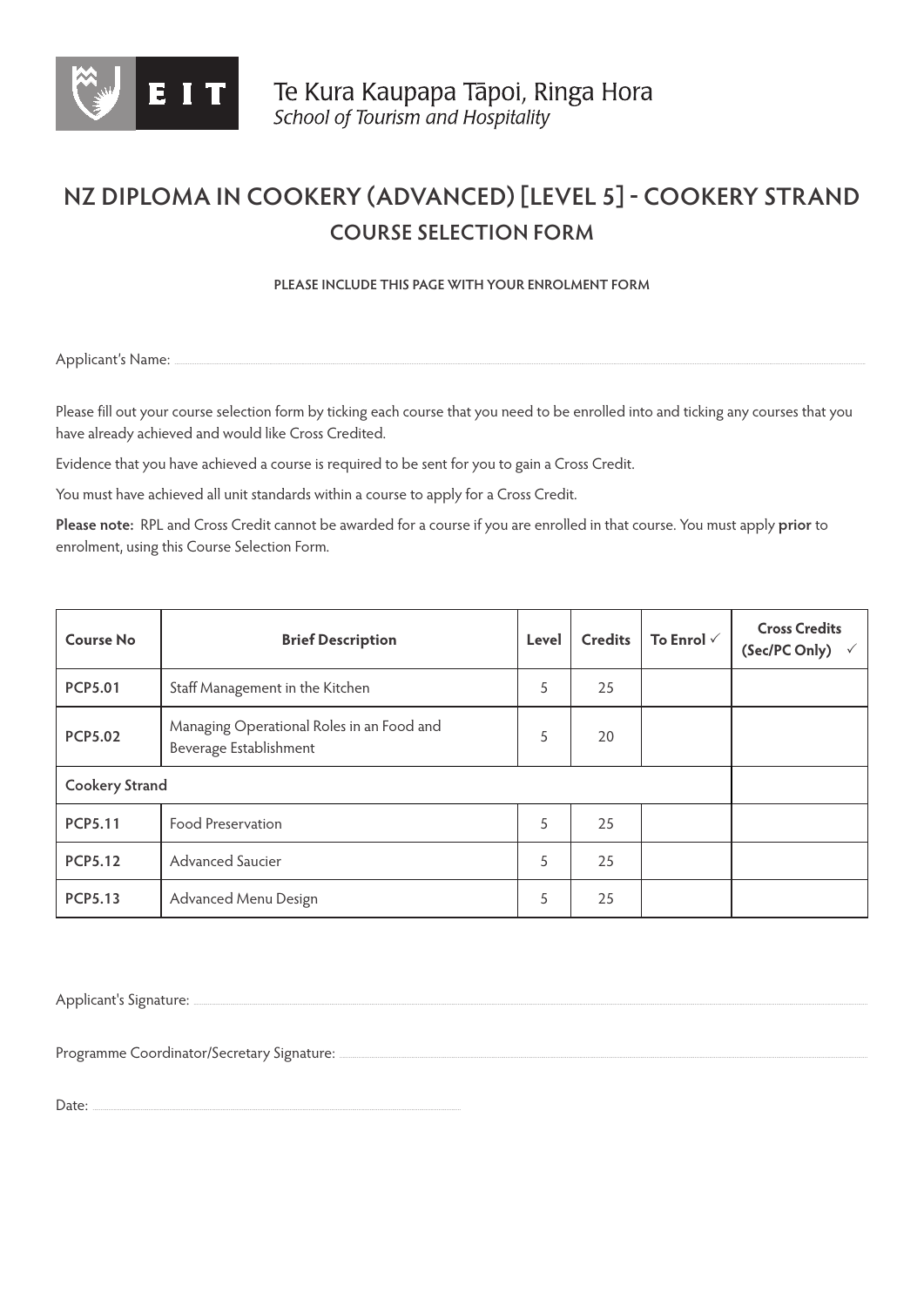

## **NZ DIPLOMA IN COOKERY (ADVANCED) [LEVEL 5] - COOKERY STRAND COURSE SELECTION FORM**

**PLEASE INCLUDE THIS PAGE WITH YOUR ENROLMENT FORM** 

Applicant's Name:

Please fill out your course selection form by ticking each course that you need to be enrolled into and ticking any courses that you have already achieved and would like Cross Credited.

Evidence that you have achieved a course is required to be sent for you to gain a Cross Credit.

You must have achieved all unit standards within a course to apply for a Cross Credit.

**Please note:** RPL and Cross Credit cannot be awarded for a course if you are enrolled in that course. You must apply **prior** to enrolment, using this Course Selection Form.

| <b>Course No</b>                                                                      | <b>Brief Description</b>        | Level | <b>Credits</b> | To Enrol $\checkmark$ | <b>Cross Credits</b><br>(Sec/PC Only) |
|---------------------------------------------------------------------------------------|---------------------------------|-------|----------------|-----------------------|---------------------------------------|
| <b>PCP5.01</b>                                                                        | Staff Management in the Kitchen | 5     | 25             |                       |                                       |
| Managing Operational Roles in an Food and<br><b>PCP5.02</b><br>Beverage Establishment |                                 | 5     | 20             |                       |                                       |
| <b>Cookery Strand</b>                                                                 |                                 |       |                |                       |                                       |
| <b>PCP5.11</b>                                                                        | <b>Food Preservation</b>        | 5     | 25             |                       |                                       |
| <b>PCP5.12</b>                                                                        | Advanced Saucier                | 5     | 25             |                       |                                       |
| <b>PCP5.13</b>                                                                        | Advanced Menu Design            | 5     | 25             |                       |                                       |

Applicant's Signature:

Programme Coordinator/Secretary Signature:

Date: ......................................................................................................................................................................................................................................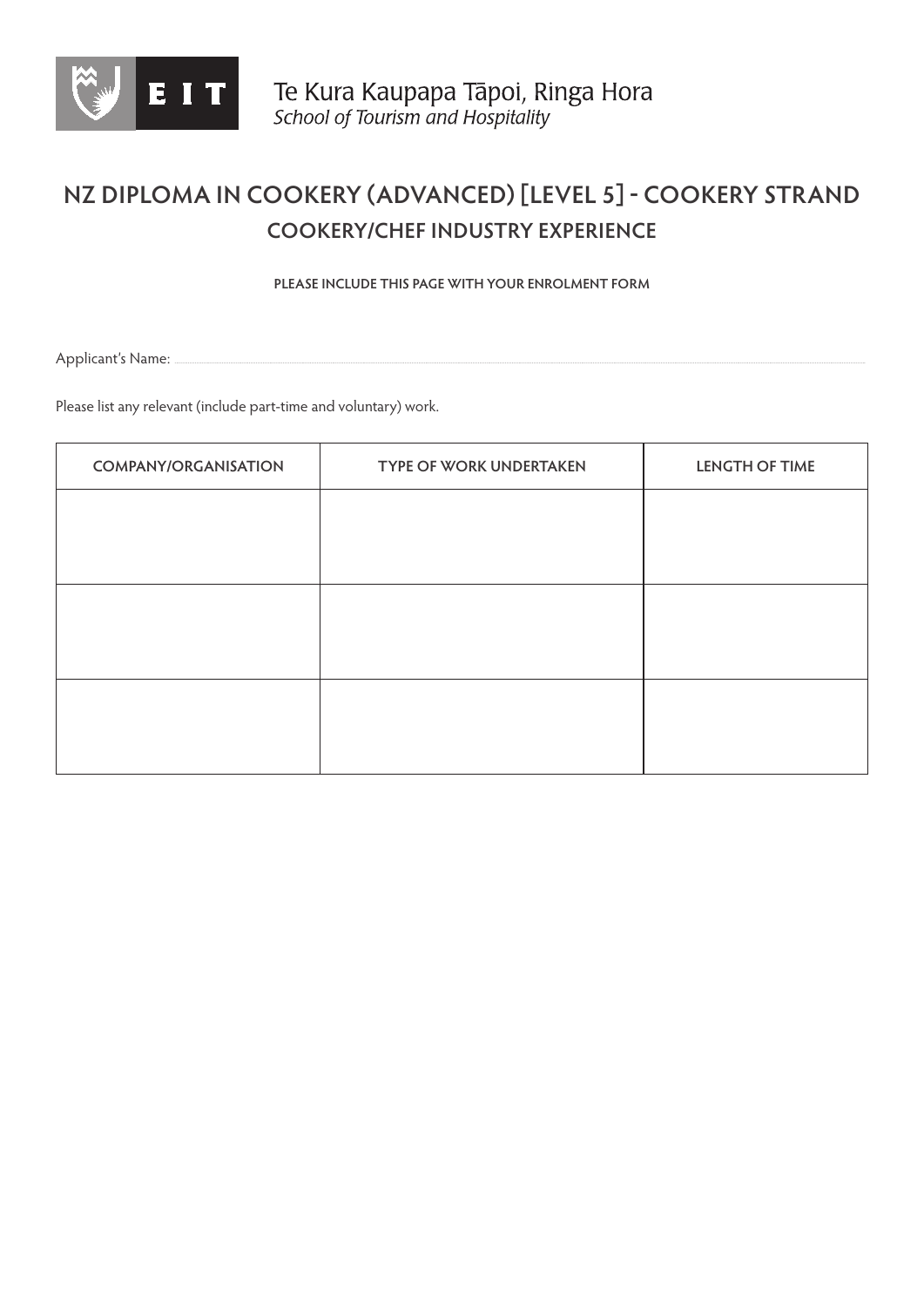

## **NZ DIPLOMA IN COOKERY (ADVANCED) [LEVEL 5] - COOKERY STRAND COOKERY/CHEF INDUSTRY EXPERIENCE**

**PLEASE INCLUDE THIS PAGE WITH YOUR ENROLMENT FORM** 

Applicant's Name:

Please list any relevant (include part-time and voluntary) work.

| <b>COMPANY/ORGANISATION</b> | <b>TYPE OF WORK UNDERTAKEN</b> | <b>LENGTH OF TIME</b> |
|-----------------------------|--------------------------------|-----------------------|
|                             |                                |                       |
|                             |                                |                       |
|                             |                                |                       |
|                             |                                |                       |
|                             |                                |                       |
|                             |                                |                       |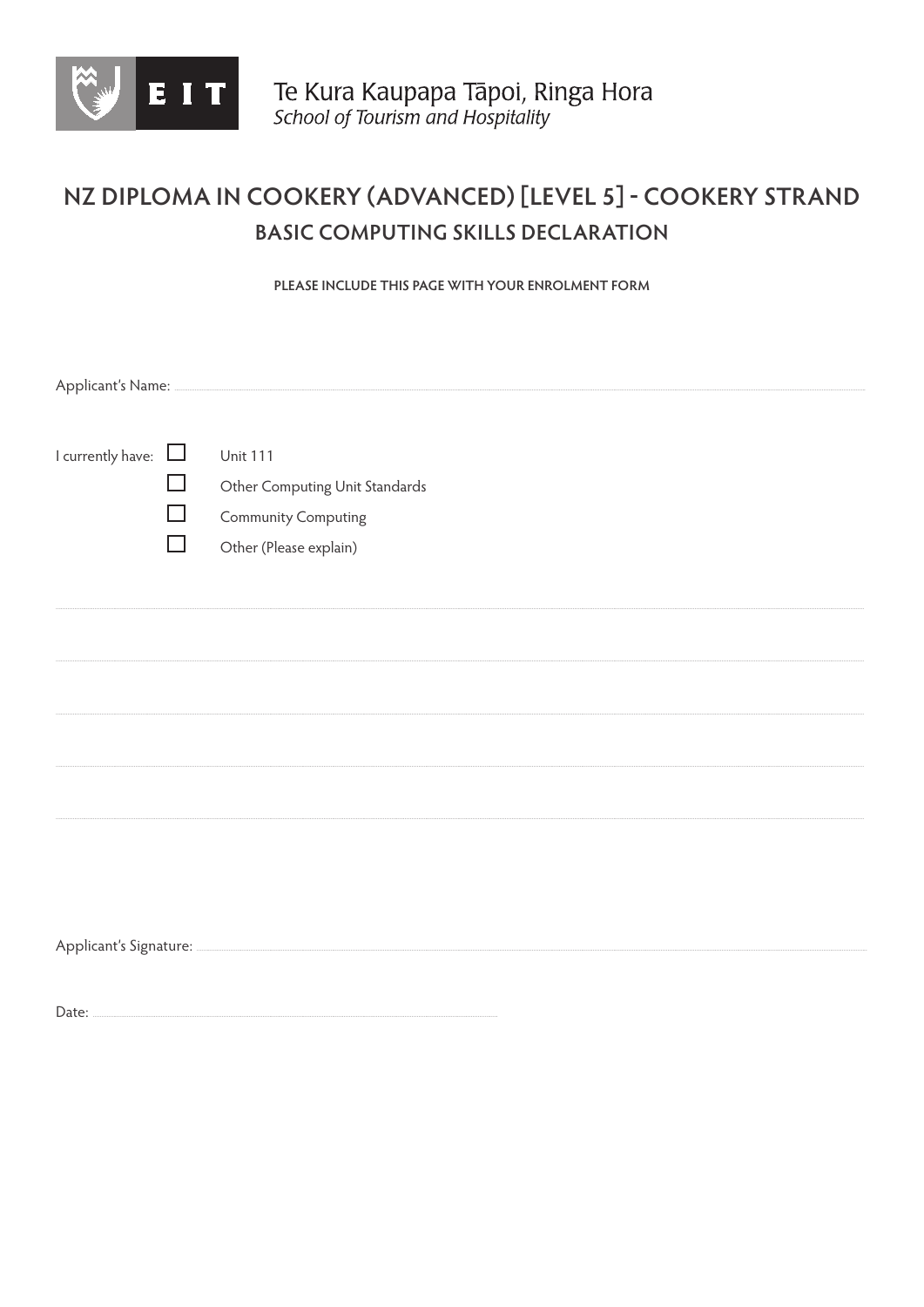

## NZ DIPLOMA IN COOKERY (ADVANCED) [LEVEL 5] - COOKERY STRAND **BASIC COMPUTING SKILLS DECLARATION**

PLEASE INCLUDE THIS PAGE WITH YOUR ENROLMENT FORM

| I currently have: $\Box$ |        | <b>Unit 111</b>                |  |  |
|--------------------------|--------|--------------------------------|--|--|
|                          | П      | Other Computing Unit Standards |  |  |
|                          | $\Box$ | <b>Community Computing</b>     |  |  |
|                          | ┓      | Other (Please explain)         |  |  |
|                          |        |                                |  |  |
|                          |        |                                |  |  |
|                          |        |                                |  |  |
|                          |        |                                |  |  |
|                          |        |                                |  |  |
|                          |        |                                |  |  |
|                          |        |                                |  |  |
|                          |        |                                |  |  |
|                          |        |                                |  |  |
|                          |        |                                |  |  |
|                          |        |                                |  |  |
|                          |        |                                |  |  |
|                          |        |                                |  |  |
|                          |        |                                |  |  |
|                          |        |                                |  |  |

Date: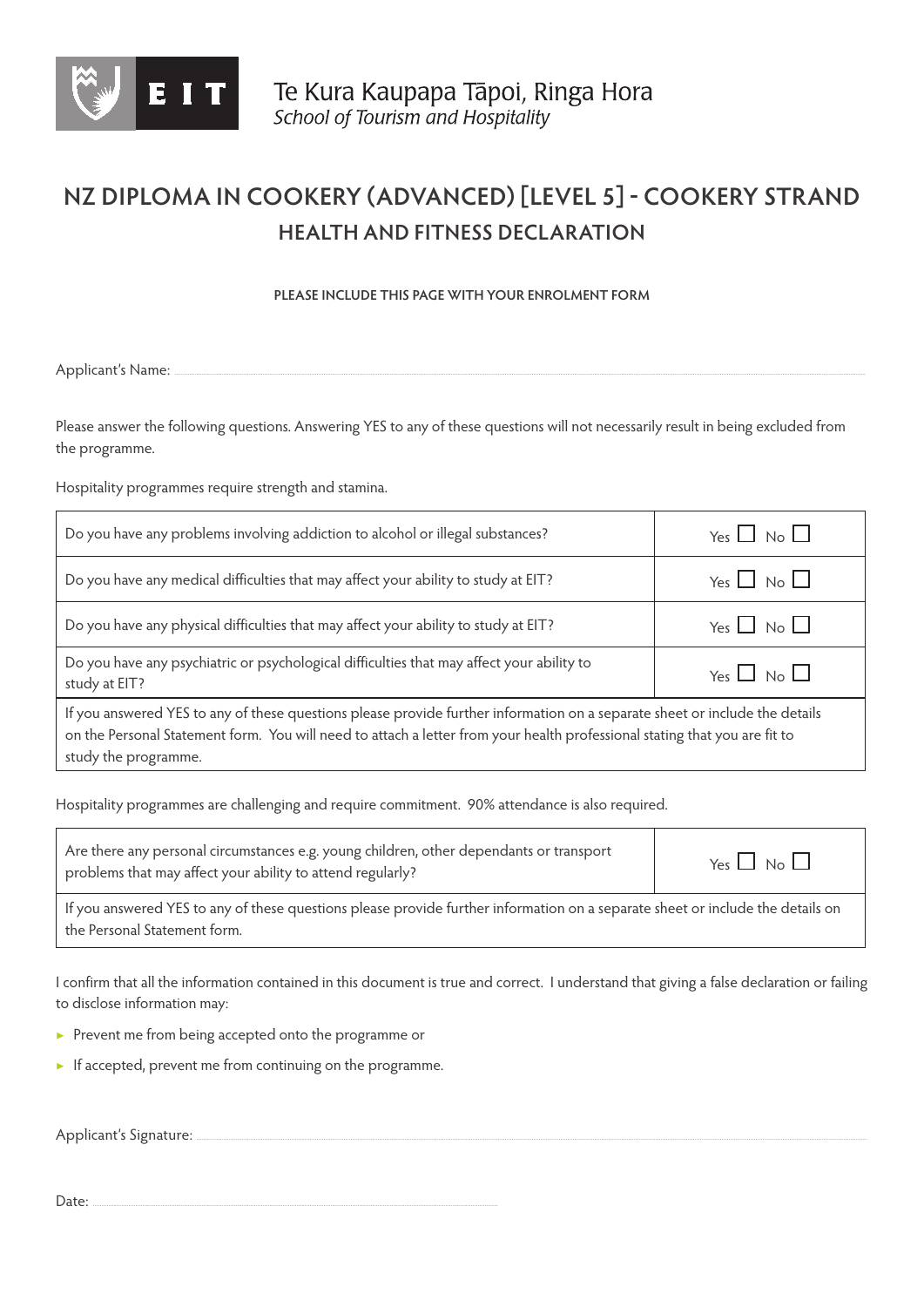

## **NZ DIPLOMA IN COOKERY (ADVANCED) [LEVEL 5] - COOKERY STRAND HEALTH AND FITNESS DECLARATION**

**PLEASE INCLUDE THIS PAGE WITH YOUR ENROLMENT FORM** 

Applicant's Name:

Please answer the following questions. Answering YES to any of these questions will not necessarily result in being excluded from the programme.

Hospitality programmes require strength and stamina.

| Do you have any problems involving addiction to alcohol or illegal substances?                                                                                                                                                                                                    | Yes $\Box$ No $\Box$ |  |
|-----------------------------------------------------------------------------------------------------------------------------------------------------------------------------------------------------------------------------------------------------------------------------------|----------------------|--|
| Do you have any medical difficulties that may affect your ability to study at EIT?                                                                                                                                                                                                | Yes $\Box$ No $\Box$ |  |
| Do you have any physical difficulties that may affect your ability to study at EIT?                                                                                                                                                                                               | Yes $\Box$ No $\Box$ |  |
| Do you have any psychiatric or psychological difficulties that may affect your ability to<br>study at EIT?                                                                                                                                                                        | Yes $\Box$ No $\Box$ |  |
| If you answered YES to any of these questions please provide further information on a separate sheet or include the details<br>on the Personal Statement form. You will need to attach a letter from your health professional stating that you are fit to<br>study the programme. |                      |  |

Hospitality programmes are challenging and require commitment. 90% attendance is also required.

| Are there any personal circumstances e.g. young children, other dependants or transport<br>problems that may affect your ability to attend regularly?          | Yes $\Box$ No $\Box$ |  |
|----------------------------------------------------------------------------------------------------------------------------------------------------------------|----------------------|--|
| If you answered YES to any of these questions please provide further information on a separate sheet or include the details on<br>the Personal Statement form. |                      |  |

I confirm that all the information contained in this document is true and correct. I understand that giving a false declaration or failing to disclose information may:

- ▶ Prevent me from being accepted onto the programme or
- ▶ If accepted, prevent me from continuing on the programme.

Applicant's Signature:

Date: ...............................................................................................................................................................................................................................................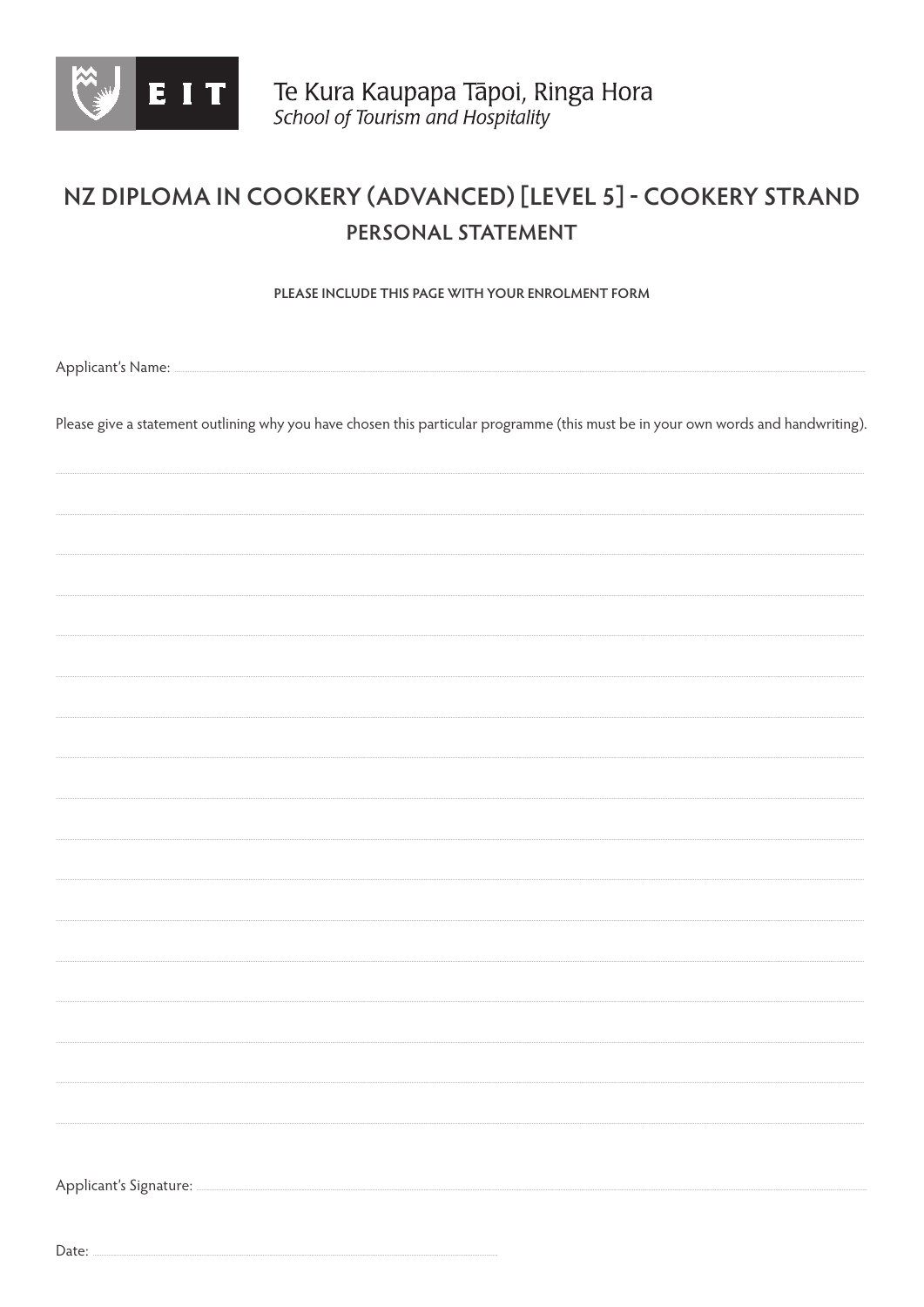

## NZ DIPLOMA IN COOKERY (ADVANCED) [LEVEL 5] - COOKERY STRAND PERSONAL STATEMENT

PLEASE INCLUDE THIS PAGE WITH YOUR ENROLMENT FORM

Applicant's Name:

Please give a statement outlining why you have chosen this particular programme (this must be in your own words and handwriting).

Applicant's Signature:

Date: